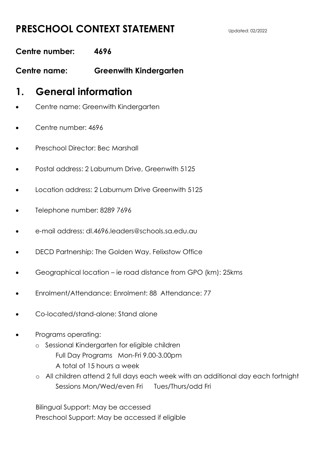### **PRESCHOOL CONTEXT STATEMENT** Updated: 02/2022

### **Centre number: 4696**

**Centre name: Greenwith Kindergarten**

### **1. General information**

- Centre name: Greenwith Kindergarten
- Centre number: 4696
- Preschool Director: Bec Marshall
- Postal address: 2 Laburnum Drive, Greenwith 5125
- Location address: 2 Laburnum Drive Greenwith 5125
- Telephone number: 8289 7696
- e-mail address: dl.4696.leaders@schools.sa.edu.au
- DECD Partnership: The Golden Way. Felixstow Office
- Geographical location ie road distance from GPO (km): 25kms
- Enrolment/Attendance: Enrolment: 88 Attendance: 77
- Co-located/stand-alone: Stand alone
- Programs operating:
	- o Sessional Kindergarten for eligible children Full Day Programs Mon-Fri 9.00-3.00pm A total of 15 hours a week
	- o All children attend 2 full days each week with an additional day each fortnight Sessions Mon/Wed/even Fri Tues/Thurs/odd Fri

Bilingual Support: May be accessed Preschool Support: May be accessed if eligible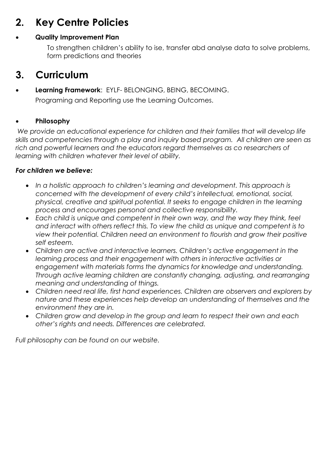# **2. Key Centre Policies**

#### **Quality Improvement Plan**

To strengthen children's ability to ise, transfer abd analyse data to solve problems, form predictions and theories

## **3. Curriculum**

# **Learning Framework**: EYLF- BELONGING, BEING, BECOMING.

Programing and Reporting use the Learning Outcomes.

#### **Philosophy**

*We provide an educational experience for children and their families that will develop life skills and competencies through a play and inquiry based program. All children are seen as*  rich and powerful learners and the educators regard themselves as co researchers of *learning with children whatever their level of ability.*

#### *For children we believe:*

- *In a holistic approach to children's learning and development. This approach is concerned with the development of every child's intellectual, emotional, social, physical, creative and spiritual potential. It seeks to engage children in the learning process and encourages personal and collective responsibility.*
- *Each child is unique and competent in their own way, and the way they think, feel and interact with others reflect this. To view the child as unique and competent is to view their potential. Children need an environment to flourish and grow their positive self esteem.*
- *Children are active and interactive learners. Children's active engagement in the learning process and their engagement with others in interactive activities or engagement with materials forms the dynamics for knowledge and understanding. Through active learning children are constantly changing, adjusting, and rearranging meaning and understanding of things.*
- *Children need real life, first hand experiences. Children are observers and explorers by nature and these experiences help develop an understanding of themselves and the environment they are in.*
- *Children grow and develop in the group and learn to respect their own and each other's rights and needs. Differences are celebrated.*

*Full philosophy can be found on our website.*